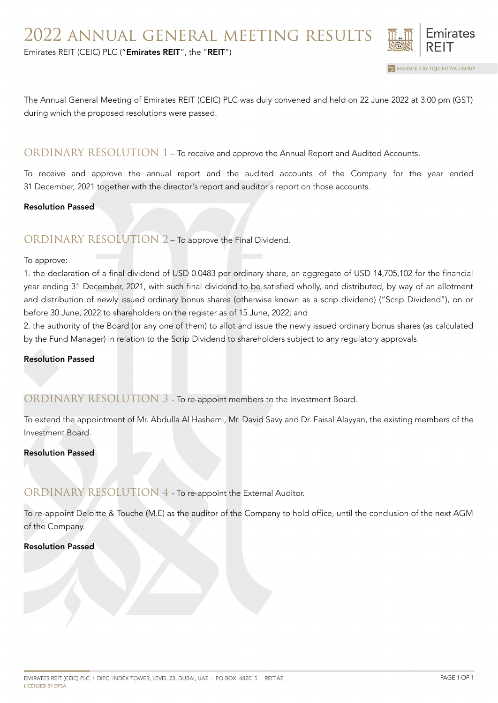

MANAGED BY EQUITATIVA GROUP

Emirates REIT (CEIC) PLC ("Emirates REIT", the "REIT")

The Annual General Meeting of Emirates REIT (CEIC) PLC was duly convened and held on 22 June 2022 at 3:00 pm (GST) during which the proposed resolutions were passed.

## ORDINARY RESOLUTION 1 – To receive and approve the Annual Report and Audited Accounts.

To receive and approve the annual report and the audited accounts of the Company for the year ended 31 December, 2021 together with the director's report and auditor's report on those accounts.

### Resolution Passed

## ORDINARY RESOLUTION 2 – To approve the Final Dividend.

#### To approve:

1. the declaration of a final dividend of USD 0.0483 per ordinary share, an aggregate of USD 14,705,102 for the financial year ending 31 December, 2021, with such final dividend to be satisfied wholly, and distributed, by way of an allotment and distribution of newly issued ordinary bonus shares (otherwise known as a scrip dividend) ("Scrip Dividend"), on or before 30 June, 2022 to shareholders on the register as of 15 June, 2022; and

2. the authority of the Board (or any one of them) to allot and issue the newly issued ordinary bonus shares (as calculated by the Fund Manager) in relation to the Scrip Dividend to shareholders subject to any regulatory approvals.

#### Resolution Passed

### ORDINARY RESOLUTION 3 - To re-appoint members to the Investment Board.

To extend the appointment of Mr. Abdulla Al Hashemi, Mr. David Savy and Dr. Faisal Alayyan, the existing members of the Investment Board.

### Resolution Passed

# ORDINARY RESOLUTION 4 - To re-appoint the External Auditor.

To re-appoint Deloitte & Touche (M.E) as the auditor of the Company to hold office, until the conclusion of the next AGM of the Company.

### Resolution Passed